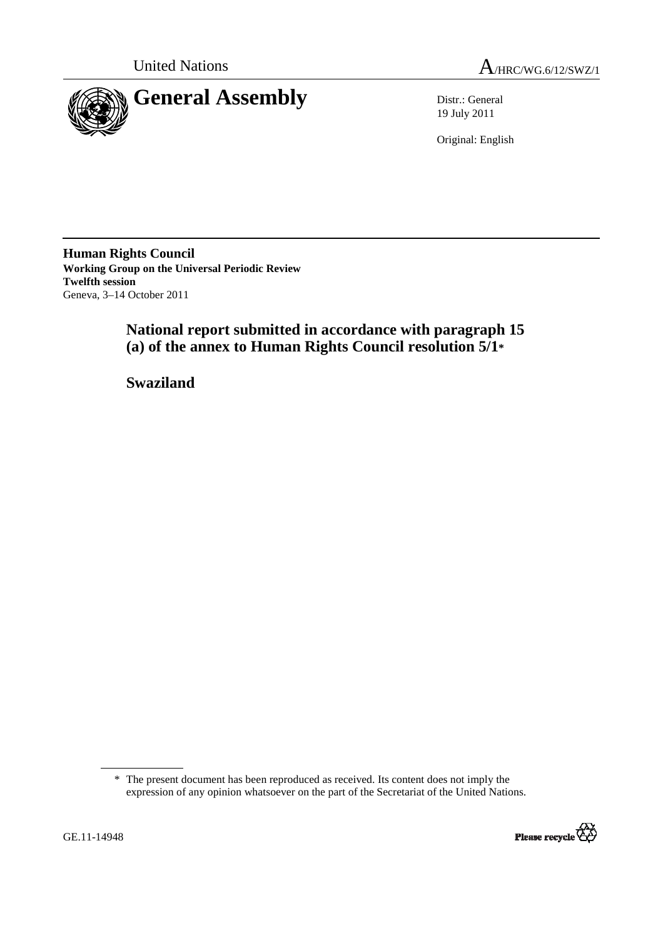



19 July 2011

Original: English

**Human Rights Council Working Group on the Universal Periodic Review Twelfth session**  Geneva, 3–14 October 2011

# **National report submitted in accordance with paragraph 15 (a) of the annex to Human Rights Council resolution 5/1\***

 **Swaziland** 

<sup>\*</sup> The present document has been reproduced as received. Its content does not imply the expression of any opinion whatsoever on the part of the Secretariat of the United Nations.

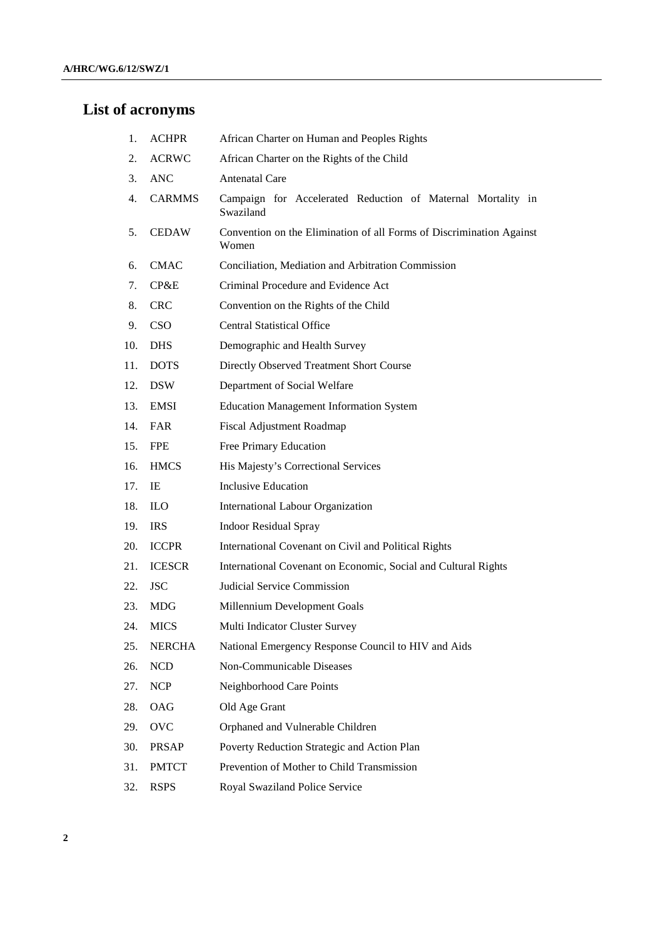## **List of acronyms**

- 1. ACHPR African Charter on Human and Peoples Rights
- 2. ACRWC African Charter on the Rights of the Child
- 3. ANC Antenatal Care
- 4. CARMMS Campaign for Accelerated Reduction of Maternal Mortality in Swaziland
- 5. CEDAW Convention on the Elimination of all Forms of Discrimination Against Women
- 6. CMAC Conciliation, Mediation and Arbitration Commission
- 7. CP&E Criminal Procedure and Evidence Act
- 8. CRC Convention on the Rights of the Child
- 9. CSO Central Statistical Office
- 10. DHS Demographic and Health Survey
- 11. DOTS Directly Observed Treatment Short Course
- 12. DSW Department of Social Welfare
- 13. EMSI Education Management Information System
- 14. FAR Fiscal Adjustment Roadmap
- 15. FPE Free Primary Education
- 16. HMCS His Majesty's Correctional Services
- 17. IE Inclusive Education
- 18. ILO International Labour Organization
- 19. IRS Indoor Residual Spray
- 20. ICCPR International Covenant on Civil and Political Rights
- 21. ICESCR International Covenant on Economic, Social and Cultural Rights
- 22. JSC Judicial Service Commission
- 23. MDG Millennium Development Goals
- 24. MICS Multi Indicator Cluster Survey
- 25. NERCHA National Emergency Response Council to HIV and Aids
- 26. NCD Non-Communicable Diseases
- 27. NCP Neighborhood Care Points
- 28. OAG Old Age Grant
- 29. OVC Orphaned and Vulnerable Children
- 30. PRSAP Poverty Reduction Strategic and Action Plan
- 31. PMTCT Prevention of Mother to Child Transmission
- 32. RSPS Royal Swaziland Police Service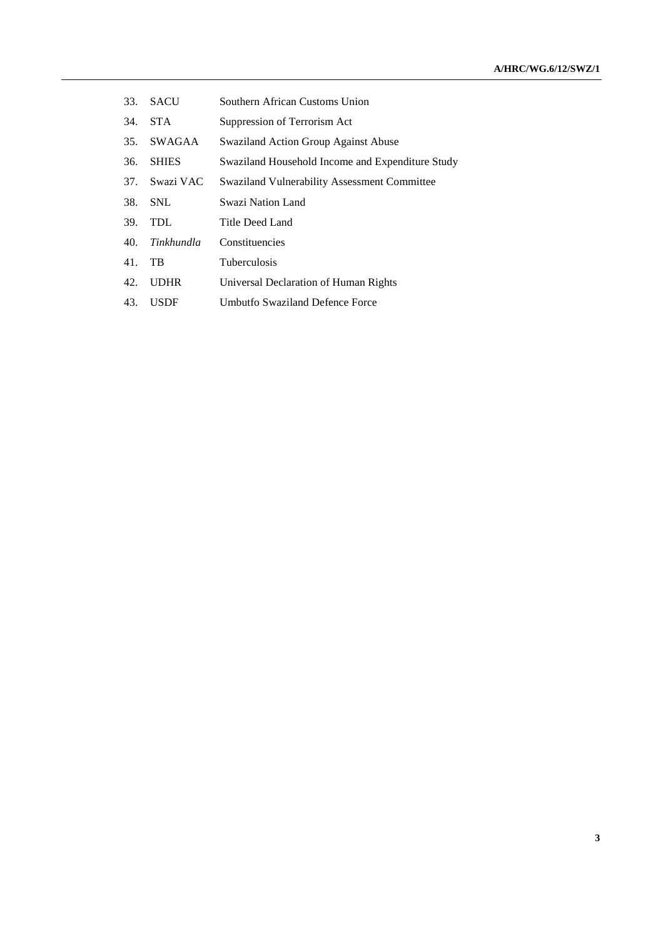- 33. SACU Southern African Customs Union
- 34. STA Suppression of Terrorism Act
- 35. SWAGAA Swaziland Action Group Against Abuse
- 36. SHIES Swaziland Household Income and Expenditure Study
- 37. Swazi VAC Swaziland Vulnerability Assessment Committee
- 38. SNL Swazi Nation Land
- 39. TDL Title Deed Land
- 40. *Tinkhundla* Constituencies
- 41. TB Tuberculosis
- 42. UDHR Universal Declaration of Human Rights
- 43. USDF Umbutfo Swaziland Defence Force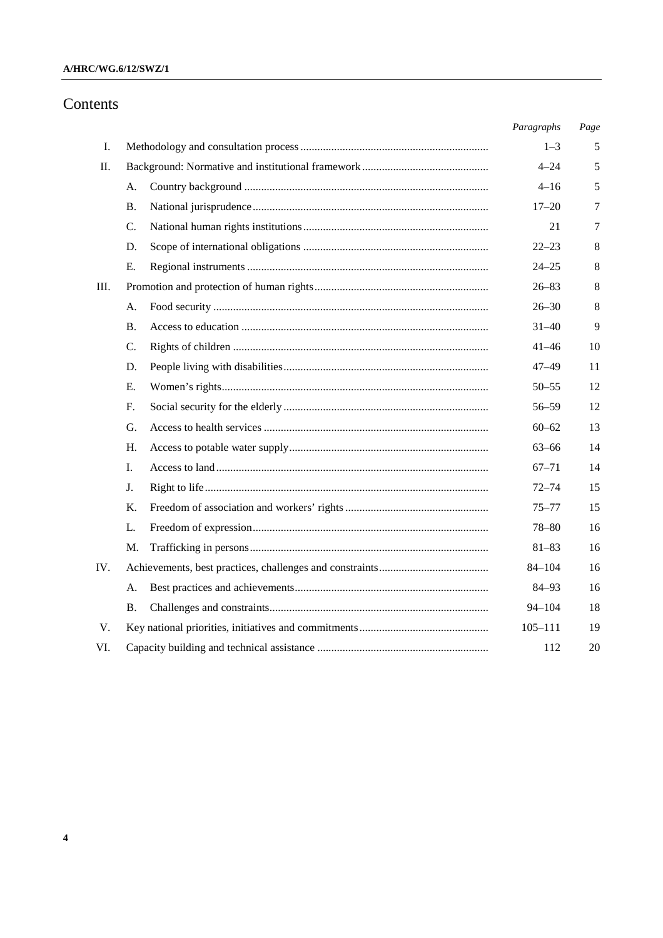### **A/HRC/WG.6/12/SWZ/1**

# Contents

|     |           | Paragraphs  | Page    |
|-----|-----------|-------------|---------|
| I.  |           | $1 - 3$     | 5       |
| П.  |           | $4 - 24$    | 5       |
|     | А.        | $4 - 16$    | 5       |
|     | <b>B.</b> | $17 - 20$   | 7       |
|     | C.        | 21          | 7       |
|     | D.        | $22 - 23$   | 8       |
|     | Е.        | $24 - 25$   | $\,8\,$ |
| Ш.  |           | $26 - 83$   | 8       |
|     | А.        | $26 - 30$   | $\,8\,$ |
|     | Β.        | $31 - 40$   | 9       |
|     | C.        | $41 - 46$   | 10      |
|     | D.        | $47 - 49$   | 11      |
|     | Е.        | $50 - 55$   | 12      |
|     | F.        | $56 - 59$   | 12      |
|     | G.        | $60 - 62$   | 13      |
|     | H.        | $63 - 66$   | 14      |
|     | L.        | $67 - 71$   | 14      |
|     | J.        | $72 - 74$   | 15      |
|     | Κ.        | $75 - 77$   | 15      |
|     | L.        | $78 - 80$   | 16      |
|     | M.        | $81 - 83$   | 16      |
| IV. |           | $84 - 104$  | 16      |
|     | А.        | $84 - 93$   | 16      |
|     | Β.        | $94 - 104$  | 18      |
| V.  |           | $105 - 111$ | 19      |
| VI. |           | 112         | 20      |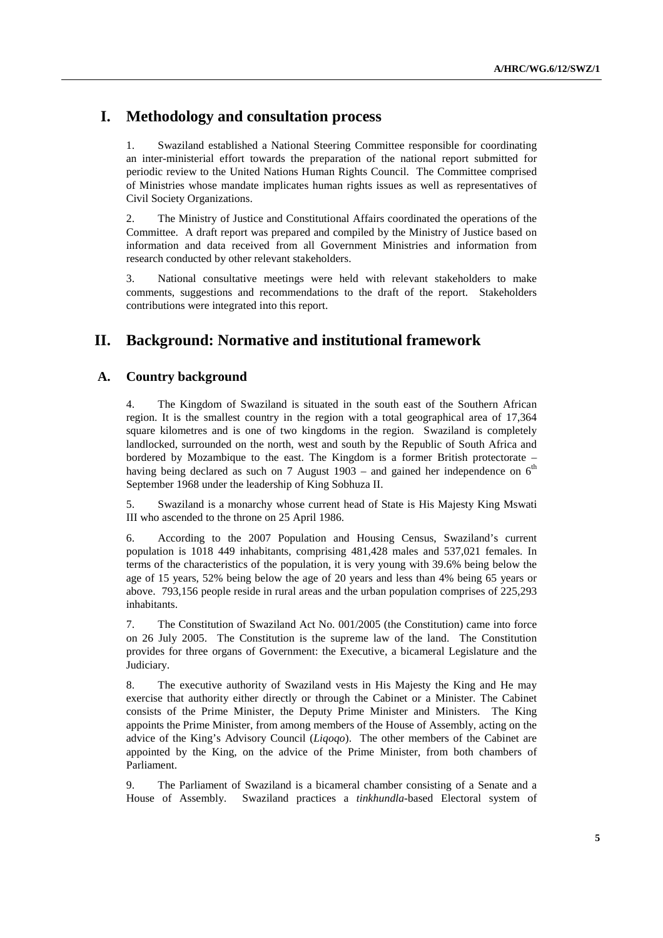# **I. Methodology and consultation process**

1. Swaziland established a National Steering Committee responsible for coordinating an inter-ministerial effort towards the preparation of the national report submitted for periodic review to the United Nations Human Rights Council. The Committee comprised of Ministries whose mandate implicates human rights issues as well as representatives of Civil Society Organizations.

2. The Ministry of Justice and Constitutional Affairs coordinated the operations of the Committee. A draft report was prepared and compiled by the Ministry of Justice based on information and data received from all Government Ministries and information from research conducted by other relevant stakeholders.

3. National consultative meetings were held with relevant stakeholders to make comments, suggestions and recommendations to the draft of the report. Stakeholders contributions were integrated into this report.

# **II. Background: Normative and institutional framework**

### **A. Country background**

4. The Kingdom of Swaziland is situated in the south east of the Southern African region. It is the smallest country in the region with a total geographical area of 17,364 square kilometres and is one of two kingdoms in the region. Swaziland is completely landlocked, surrounded on the north, west and south by the Republic of South Africa and bordered by Mozambique to the east. The Kingdom is a former British protectorate – having being declared as such on 7 August 1903 – and gained her independence on  $6<sup>th</sup>$ September 1968 under the leadership of King Sobhuza II.

5. Swaziland is a monarchy whose current head of State is His Majesty King Mswati III who ascended to the throne on 25 April 1986.

6. According to the 2007 Population and Housing Census, Swaziland's current population is 1018 449 inhabitants, comprising 481,428 males and 537,021 females. In terms of the characteristics of the population, it is very young with 39.6% being below the age of 15 years, 52% being below the age of 20 years and less than 4% being 65 years or above. 793,156 people reside in rural areas and the urban population comprises of 225,293 inhabitants.

7. The Constitution of Swaziland Act No. 001/2005 (the Constitution) came into force on 26 July 2005. The Constitution is the supreme law of the land. The Constitution provides for three organs of Government: the Executive, a bicameral Legislature and the Judiciary.

8. The executive authority of Swaziland vests in His Majesty the King and He may exercise that authority either directly or through the Cabinet or a Minister. The Cabinet consists of the Prime Minister, the Deputy Prime Minister and Ministers. The King appoints the Prime Minister, from among members of the House of Assembly, acting on the advice of the King's Advisory Council (*Liqoqo*). The other members of the Cabinet are appointed by the King, on the advice of the Prime Minister, from both chambers of Parliament.

9. The Parliament of Swaziland is a bicameral chamber consisting of a Senate and a House of Assembly. Swaziland practices a *tinkhundla*-based Electoral system of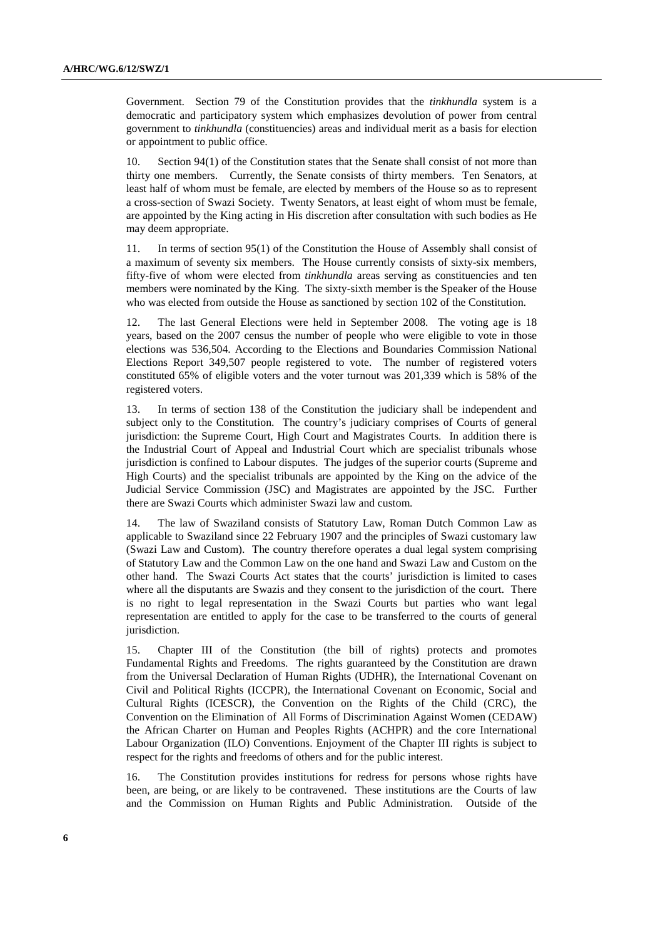Government. Section 79 of the Constitution provides that the *tinkhundla* system is a democratic and participatory system which emphasizes devolution of power from central government to *tinkhundla* (constituencies) areas and individual merit as a basis for election or appointment to public office.

10. Section 94(1) of the Constitution states that the Senate shall consist of not more than thirty one members. Currently, the Senate consists of thirty members. Ten Senators, at least half of whom must be female, are elected by members of the House so as to represent a cross-section of Swazi Society. Twenty Senators, at least eight of whom must be female, are appointed by the King acting in His discretion after consultation with such bodies as He may deem appropriate.

11. In terms of section 95(1) of the Constitution the House of Assembly shall consist of a maximum of seventy six members. The House currently consists of sixty-six members, fifty-five of whom were elected from *tinkhundla* areas serving as constituencies and ten members were nominated by the King. The sixty-sixth member is the Speaker of the House who was elected from outside the House as sanctioned by section 102 of the Constitution.

12. The last General Elections were held in September 2008. The voting age is 18 years, based on the 2007 census the number of people who were eligible to vote in those elections was 536,504. According to the Elections and Boundaries Commission National Elections Report 349,507 people registered to vote. The number of registered voters constituted 65% of eligible voters and the voter turnout was 201,339 which is 58% of the registered voters.

13. In terms of section 138 of the Constitution the judiciary shall be independent and subject only to the Constitution. The country's judiciary comprises of Courts of general jurisdiction: the Supreme Court, High Court and Magistrates Courts. In addition there is the Industrial Court of Appeal and Industrial Court which are specialist tribunals whose jurisdiction is confined to Labour disputes. The judges of the superior courts (Supreme and High Courts) and the specialist tribunals are appointed by the King on the advice of the Judicial Service Commission (JSC) and Magistrates are appointed by the JSC. Further there are Swazi Courts which administer Swazi law and custom.

The law of Swaziland consists of Statutory Law, Roman Dutch Common Law as applicable to Swaziland since 22 February 1907 and the principles of Swazi customary law (Swazi Law and Custom). The country therefore operates a dual legal system comprising of Statutory Law and the Common Law on the one hand and Swazi Law and Custom on the other hand. The Swazi Courts Act states that the courts' jurisdiction is limited to cases where all the disputants are Swazis and they consent to the jurisdiction of the court. There is no right to legal representation in the Swazi Courts but parties who want legal representation are entitled to apply for the case to be transferred to the courts of general jurisdiction.

15. Chapter III of the Constitution (the bill of rights) protects and promotes Fundamental Rights and Freedoms. The rights guaranteed by the Constitution are drawn from the Universal Declaration of Human Rights (UDHR), the International Covenant on Civil and Political Rights (ICCPR), the International Covenant on Economic, Social and Cultural Rights (ICESCR), the Convention on the Rights of the Child (CRC), the Convention on the Elimination of All Forms of Discrimination Against Women (CEDAW) the African Charter on Human and Peoples Rights (ACHPR) and the core International Labour Organization (ILO) Conventions. Enjoyment of the Chapter III rights is subject to respect for the rights and freedoms of others and for the public interest.

16. The Constitution provides institutions for redress for persons whose rights have been, are being, or are likely to be contravened. These institutions are the Courts of law and the Commission on Human Rights and Public Administration. Outside of the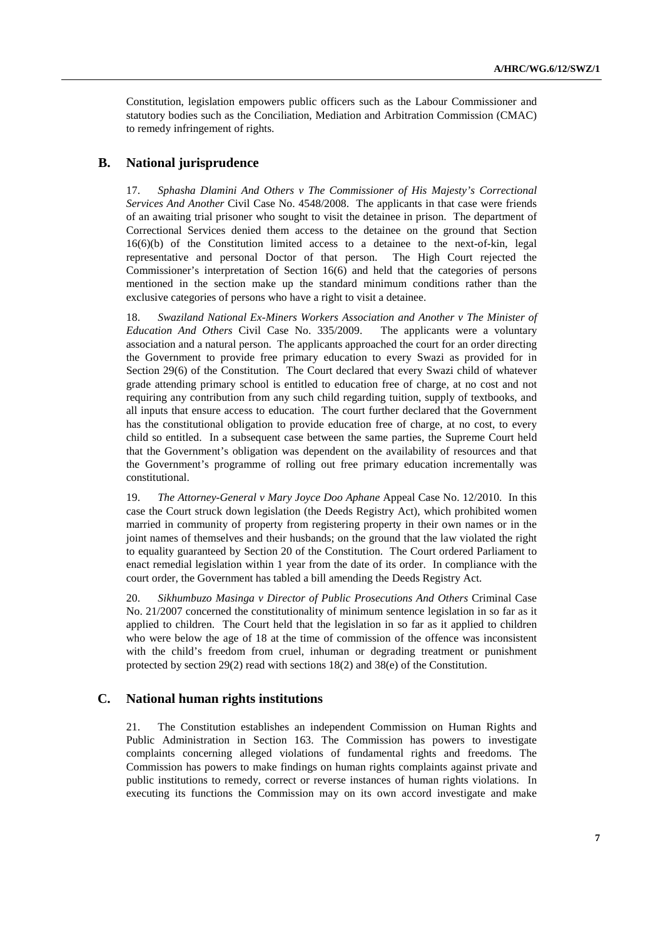Constitution, legislation empowers public officers such as the Labour Commissioner and statutory bodies such as the Conciliation, Mediation and Arbitration Commission (CMAC) to remedy infringement of rights.

### **B. National jurisprudence**

17. *Sphasha Dlamini And Others v The Commissioner of His Majesty's Correctional Services And Another* Civil Case No. 4548/2008. The applicants in that case were friends of an awaiting trial prisoner who sought to visit the detainee in prison. The department of Correctional Services denied them access to the detainee on the ground that Section 16(6)(b) of the Constitution limited access to a detainee to the next-of-kin, legal representative and personal Doctor of that person. The High Court rejected the Commissioner's interpretation of Section 16(6) and held that the categories of persons mentioned in the section make up the standard minimum conditions rather than the exclusive categories of persons who have a right to visit a detainee.

18. *Swaziland National Ex-Miners Workers Association and Another v The Minister of Education And Others* Civil Case No. 335/2009. The applicants were a voluntary association and a natural person. The applicants approached the court for an order directing the Government to provide free primary education to every Swazi as provided for in Section 29(6) of the Constitution. The Court declared that every Swazi child of whatever grade attending primary school is entitled to education free of charge, at no cost and not requiring any contribution from any such child regarding tuition, supply of textbooks, and all inputs that ensure access to education. The court further declared that the Government has the constitutional obligation to provide education free of charge, at no cost, to every child so entitled. In a subsequent case between the same parties, the Supreme Court held that the Government's obligation was dependent on the availability of resources and that the Government's programme of rolling out free primary education incrementally was constitutional.

19. *The Attorney-General v Mary Joyce Doo Aphane* Appeal Case No. 12/2010. In this case the Court struck down legislation (the Deeds Registry Act), which prohibited women married in community of property from registering property in their own names or in the joint names of themselves and their husbands; on the ground that the law violated the right to equality guaranteed by Section 20 of the Constitution. The Court ordered Parliament to enact remedial legislation within 1 year from the date of its order. In compliance with the court order, the Government has tabled a bill amending the Deeds Registry Act.

20. *Sikhumbuzo Masinga v Director of Public Prosecutions And Others* Criminal Case No. 21/2007 concerned the constitutionality of minimum sentence legislation in so far as it applied to children. The Court held that the legislation in so far as it applied to children who were below the age of 18 at the time of commission of the offence was inconsistent with the child's freedom from cruel, inhuman or degrading treatment or punishment protected by section 29(2) read with sections 18(2) and 38(e) of the Constitution.

### **C. National human rights institutions**

21. The Constitution establishes an independent Commission on Human Rights and Public Administration in Section 163. The Commission has powers to investigate complaints concerning alleged violations of fundamental rights and freedoms. The Commission has powers to make findings on human rights complaints against private and public institutions to remedy, correct or reverse instances of human rights violations. In executing its functions the Commission may on its own accord investigate and make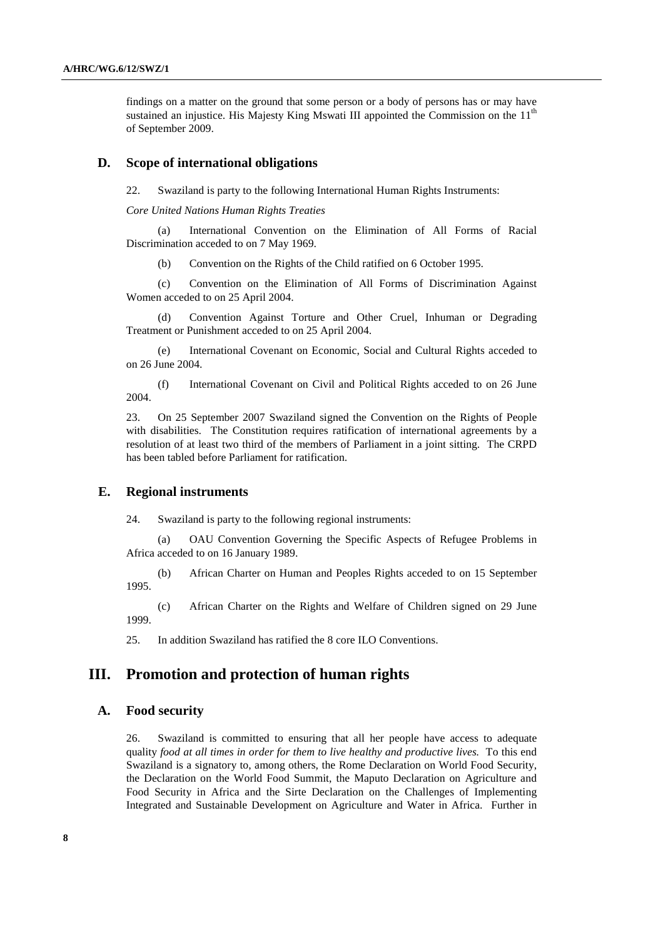findings on a matter on the ground that some person or a body of persons has or may have sustained an injustice. His Majesty King Mswati III appointed the Commission on the  $11<sup>th</sup>$ of September 2009.

#### **D. Scope of international obligations**

22. Swaziland is party to the following International Human Rights Instruments:

#### *Core United Nations Human Rights Treaties*

(a) International Convention on the Elimination of All Forms of Racial Discrimination acceded to on 7 May 1969.

(b) Convention on the Rights of the Child ratified on 6 October 1995.

(c) Convention on the Elimination of All Forms of Discrimination Against Women acceded to on 25 April 2004.

(d) Convention Against Torture and Other Cruel, Inhuman or Degrading Treatment or Punishment acceded to on 25 April 2004.

(e) International Covenant on Economic, Social and Cultural Rights acceded to on 26 June 2004.

(f) International Covenant on Civil and Political Rights acceded to on 26 June 2004.

23. On 25 September 2007 Swaziland signed the Convention on the Rights of People with disabilities. The Constitution requires ratification of international agreements by a resolution of at least two third of the members of Parliament in a joint sitting. The CRPD has been tabled before Parliament for ratification.

#### **E. Regional instruments**

24. Swaziland is party to the following regional instruments:

(a) OAU Convention Governing the Specific Aspects of Refugee Problems in Africa acceded to on 16 January 1989.

(b) African Charter on Human and Peoples Rights acceded to on 15 September 1995.

(c) African Charter on the Rights and Welfare of Children signed on 29 June 1999.

25. In addition Swaziland has ratified the 8 core ILO Conventions.

## **III. Promotion and protection of human rights**

#### **A. Food security**

26. Swaziland is committed to ensuring that all her people have access to adequate quality *food at all times in order for them to live healthy and productive lives.* To this end Swaziland is a signatory to, among others, the Rome Declaration on World Food Security, the Declaration on the World Food Summit, the Maputo Declaration on Agriculture and Food Security in Africa and the Sirte Declaration on the Challenges of Implementing Integrated and Sustainable Development on Agriculture and Water in Africa. Further in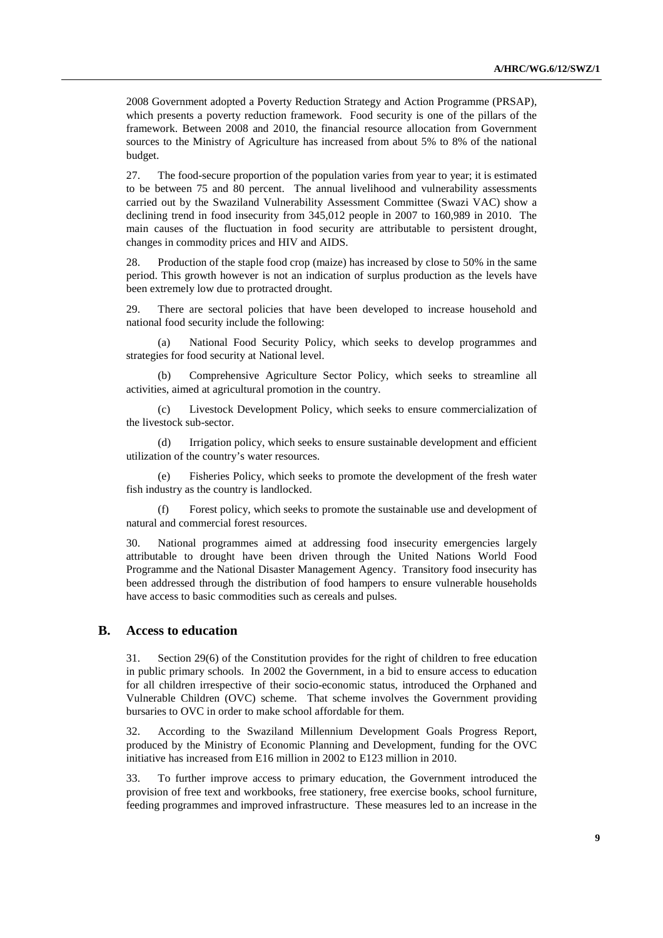2008 Government adopted a Poverty Reduction Strategy and Action Programme (PRSAP), which presents a poverty reduction framework. Food security is one of the pillars of the framework. Between 2008 and 2010, the financial resource allocation from Government sources to the Ministry of Agriculture has increased from about 5% to 8% of the national budget.

27. The food-secure proportion of the population varies from year to year; it is estimated to be between 75 and 80 percent. The annual livelihood and vulnerability assessments carried out by the Swaziland Vulnerability Assessment Committee (Swazi VAC) show a declining trend in food insecurity from 345,012 people in 2007 to 160,989 in 2010. The main causes of the fluctuation in food security are attributable to persistent drought, changes in commodity prices and HIV and AIDS.

28. Production of the staple food crop (maize) has increased by close to 50% in the same period. This growth however is not an indication of surplus production as the levels have been extremely low due to protracted drought.

29. There are sectoral policies that have been developed to increase household and national food security include the following:

(a) National Food Security Policy, which seeks to develop programmes and strategies for food security at National level.

(b) Comprehensive Agriculture Sector Policy, which seeks to streamline all activities, aimed at agricultural promotion in the country.

(c) Livestock Development Policy, which seeks to ensure commercialization of the livestock sub-sector.

(d) Irrigation policy, which seeks to ensure sustainable development and efficient utilization of the country's water resources.

(e) Fisheries Policy, which seeks to promote the development of the fresh water fish industry as the country is landlocked.

(f) Forest policy, which seeks to promote the sustainable use and development of natural and commercial forest resources.

30. National programmes aimed at addressing food insecurity emergencies largely attributable to drought have been driven through the United Nations World Food Programme and the National Disaster Management Agency. Transitory food insecurity has been addressed through the distribution of food hampers to ensure vulnerable households have access to basic commodities such as cereals and pulses.

### **B. Access to education**

31. Section 29(6) of the Constitution provides for the right of children to free education in public primary schools. In 2002 the Government, in a bid to ensure access to education for all children irrespective of their socio-economic status, introduced the Orphaned and Vulnerable Children (OVC) scheme. That scheme involves the Government providing bursaries to OVC in order to make school affordable for them.

32. According to the Swaziland Millennium Development Goals Progress Report, produced by the Ministry of Economic Planning and Development, funding for the OVC initiative has increased from E16 million in 2002 to E123 million in 2010.

33. To further improve access to primary education, the Government introduced the provision of free text and workbooks, free stationery, free exercise books, school furniture, feeding programmes and improved infrastructure. These measures led to an increase in the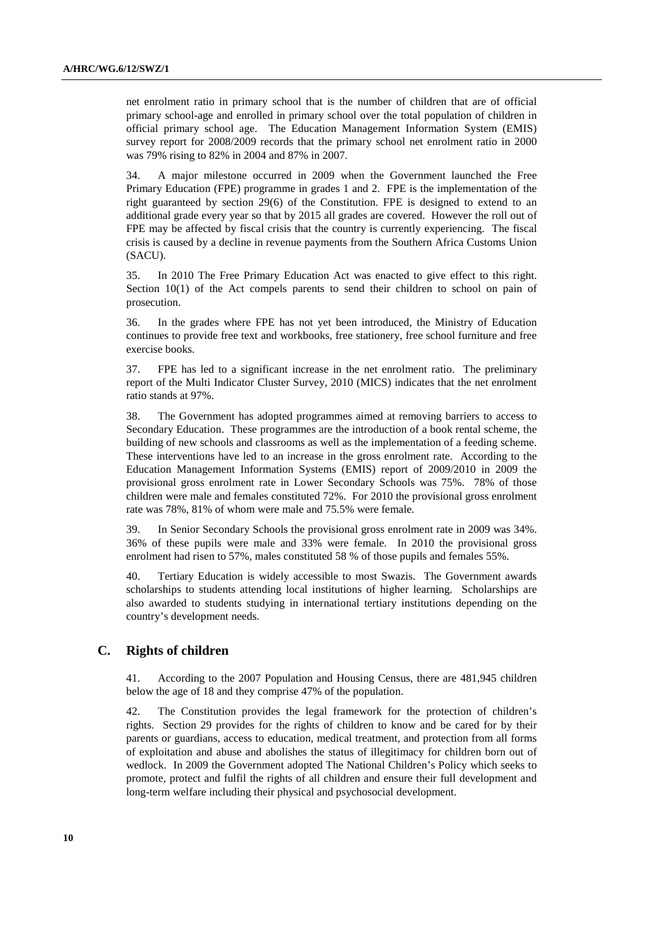net enrolment ratio in primary school that is the number of children that are of official primary school-age and enrolled in primary school over the total population of children in official primary school age. The Education Management Information System (EMIS) survey report for 2008/2009 records that the primary school net enrolment ratio in 2000 was 79% rising to 82% in 2004 and 87% in 2007.

34. A major milestone occurred in 2009 when the Government launched the Free Primary Education (FPE) programme in grades 1 and 2. FPE is the implementation of the right guaranteed by section 29(6) of the Constitution. FPE is designed to extend to an additional grade every year so that by 2015 all grades are covered. However the roll out of FPE may be affected by fiscal crisis that the country is currently experiencing. The fiscal crisis is caused by a decline in revenue payments from the Southern Africa Customs Union (SACU).

35. In 2010 The Free Primary Education Act was enacted to give effect to this right. Section 10(1) of the Act compels parents to send their children to school on pain of prosecution.

36. In the grades where FPE has not yet been introduced, the Ministry of Education continues to provide free text and workbooks, free stationery, free school furniture and free exercise books.

37. FPE has led to a significant increase in the net enrolment ratio. The preliminary report of the Multi Indicator Cluster Survey, 2010 (MICS) indicates that the net enrolment ratio stands at 97%.

38. The Government has adopted programmes aimed at removing barriers to access to Secondary Education. These programmes are the introduction of a book rental scheme, the building of new schools and classrooms as well as the implementation of a feeding scheme. These interventions have led to an increase in the gross enrolment rate. According to the Education Management Information Systems (EMIS) report of 2009/2010 in 2009 the provisional gross enrolment rate in Lower Secondary Schools was 75%. 78% of those children were male and females constituted 72%. For 2010 the provisional gross enrolment rate was 78%, 81% of whom were male and 75.5% were female.

39. In Senior Secondary Schools the provisional gross enrolment rate in 2009 was 34%. 36% of these pupils were male and 33% were female. In 2010 the provisional gross enrolment had risen to 57%, males constituted 58 % of those pupils and females 55%.

40. Tertiary Education is widely accessible to most Swazis. The Government awards scholarships to students attending local institutions of higher learning. Scholarships are also awarded to students studying in international tertiary institutions depending on the country's development needs.

### **C. Rights of children**

41. According to the 2007 Population and Housing Census, there are 481,945 children below the age of 18 and they comprise 47% of the population.

42. The Constitution provides the legal framework for the protection of children's rights. Section 29 provides for the rights of children to know and be cared for by their parents or guardians, access to education, medical treatment, and protection from all forms of exploitation and abuse and abolishes the status of illegitimacy for children born out of wedlock. In 2009 the Government adopted The National Children's Policy which seeks to promote, protect and fulfil the rights of all children and ensure their full development and long-term welfare including their physical and psychosocial development.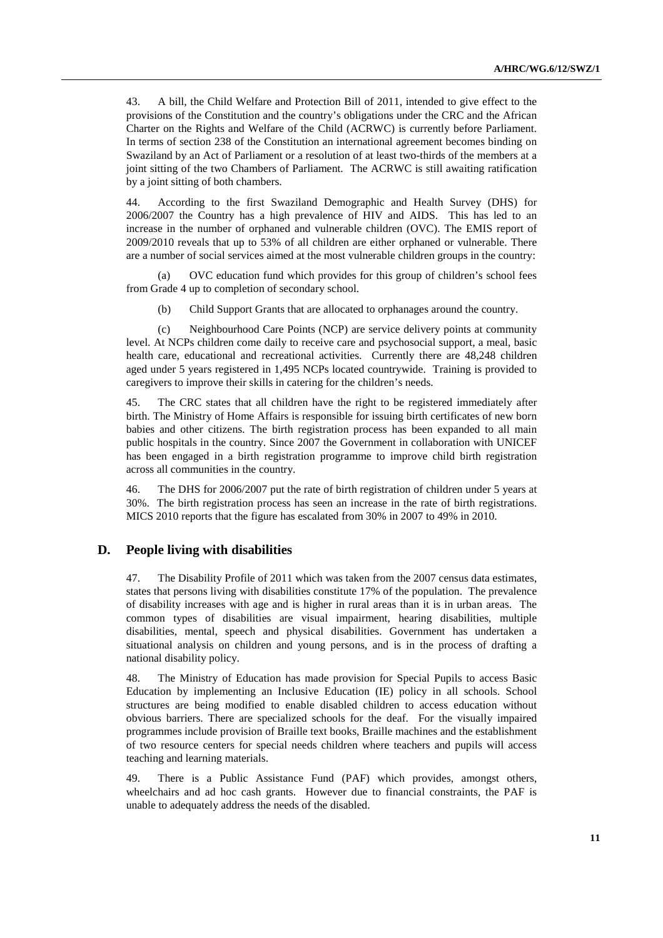43. A bill, the Child Welfare and Protection Bill of 2011, intended to give effect to the provisions of the Constitution and the country's obligations under the CRC and the African Charter on the Rights and Welfare of the Child (ACRWC) is currently before Parliament. In terms of section 238 of the Constitution an international agreement becomes binding on Swaziland by an Act of Parliament or a resolution of at least two-thirds of the members at a joint sitting of the two Chambers of Parliament. The ACRWC is still awaiting ratification by a joint sitting of both chambers.

44. According to the first Swaziland Demographic and Health Survey (DHS) for 2006/2007 the Country has a high prevalence of HIV and AIDS. This has led to an increase in the number of orphaned and vulnerable children (OVC). The EMIS report of 2009/2010 reveals that up to 53% of all children are either orphaned or vulnerable. There are a number of social services aimed at the most vulnerable children groups in the country:

(a) OVC education fund which provides for this group of children's school fees from Grade 4 up to completion of secondary school.

(b) Child Support Grants that are allocated to orphanages around the country.

(c) Neighbourhood Care Points (NCP) are service delivery points at community level. At NCPs children come daily to receive care and psychosocial support, a meal, basic health care, educational and recreational activities. Currently there are 48,248 children aged under 5 years registered in 1,495 NCPs located countrywide. Training is provided to caregivers to improve their skills in catering for the children's needs.

45. The CRC states that all children have the right to be registered immediately after birth. The Ministry of Home Affairs is responsible for issuing birth certificates of new born babies and other citizens. The birth registration process has been expanded to all main public hospitals in the country. Since 2007 the Government in collaboration with UNICEF has been engaged in a birth registration programme to improve child birth registration across all communities in the country.

46. The DHS for 2006/2007 put the rate of birth registration of children under 5 years at 30%. The birth registration process has seen an increase in the rate of birth registrations. MICS 2010 reports that the figure has escalated from 30% in 2007 to 49% in 2010.

#### **D. People living with disabilities**

47. The Disability Profile of 2011 which was taken from the 2007 census data estimates, states that persons living with disabilities constitute 17% of the population. The prevalence of disability increases with age and is higher in rural areas than it is in urban areas. The common types of disabilities are visual impairment, hearing disabilities, multiple disabilities, mental, speech and physical disabilities. Government has undertaken a situational analysis on children and young persons, and is in the process of drafting a national disability policy.

48. The Ministry of Education has made provision for Special Pupils to access Basic Education by implementing an Inclusive Education (IE) policy in all schools. School structures are being modified to enable disabled children to access education without obvious barriers. There are specialized schools for the deaf. For the visually impaired programmes include provision of Braille text books, Braille machines and the establishment of two resource centers for special needs children where teachers and pupils will access teaching and learning materials.

49. There is a Public Assistance Fund (PAF) which provides, amongst others, wheelchairs and ad hoc cash grants. However due to financial constraints, the PAF is unable to adequately address the needs of the disabled.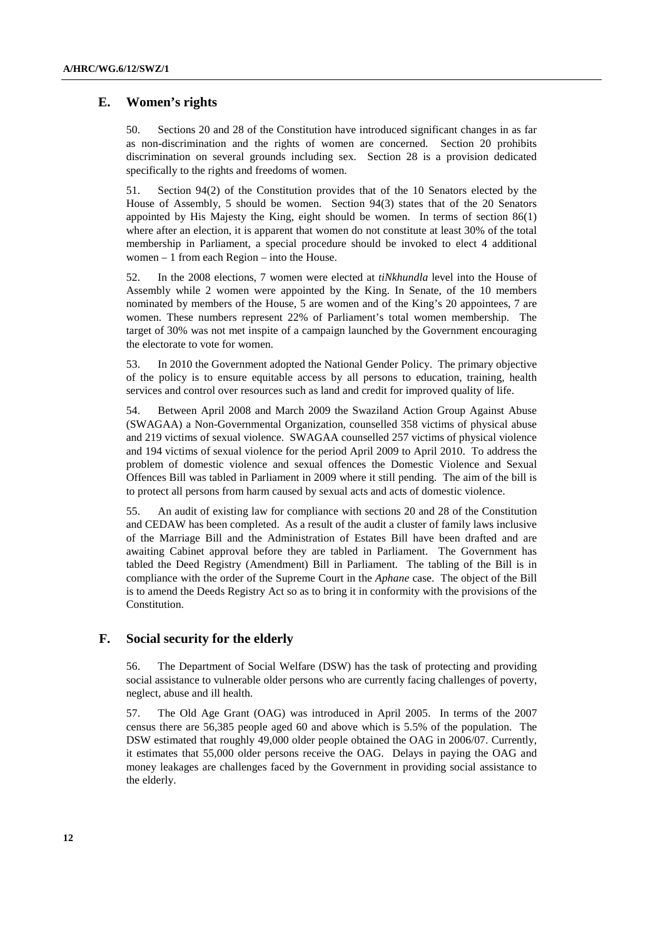### **E. Women's rights**

50. Sections 20 and 28 of the Constitution have introduced significant changes in as far as non-discrimination and the rights of women are concerned. Section 20 prohibits discrimination on several grounds including sex. Section 28 is a provision dedicated specifically to the rights and freedoms of women.

51. Section 94(2) of the Constitution provides that of the 10 Senators elected by the House of Assembly, 5 should be women. Section 94(3) states that of the 20 Senators appointed by His Majesty the King, eight should be women. In terms of section 86(1) where after an election, it is apparent that women do not constitute at least 30% of the total membership in Parliament, a special procedure should be invoked to elect 4 additional women – 1 from each Region – into the House.

52. In the 2008 elections, 7 women were elected at *tiNkhundla* level into the House of Assembly while 2 women were appointed by the King. In Senate, of the 10 members nominated by members of the House, 5 are women and of the King's 20 appointees, 7 are women. These numbers represent 22% of Parliament's total women membership. The target of 30% was not met inspite of a campaign launched by the Government encouraging the electorate to vote for women.

53. In 2010 the Government adopted the National Gender Policy. The primary objective of the policy is to ensure equitable access by all persons to education, training, health services and control over resources such as land and credit for improved quality of life.

54. Between April 2008 and March 2009 the Swaziland Action Group Against Abuse (SWAGAA) a Non-Governmental Organization, counselled 358 victims of physical abuse and 219 victims of sexual violence. SWAGAA counselled 257 victims of physical violence and 194 victims of sexual violence for the period April 2009 to April 2010. To address the problem of domestic violence and sexual offences the Domestic Violence and Sexual Offences Bill was tabled in Parliament in 2009 where it still pending. The aim of the bill is to protect all persons from harm caused by sexual acts and acts of domestic violence.

55. An audit of existing law for compliance with sections 20 and 28 of the Constitution and CEDAW has been completed. As a result of the audit a cluster of family laws inclusive of the Marriage Bill and the Administration of Estates Bill have been drafted and are awaiting Cabinet approval before they are tabled in Parliament. The Government has tabled the Deed Registry (Amendment) Bill in Parliament. The tabling of the Bill is in compliance with the order of the Supreme Court in the *Aphane* case. The object of the Bill is to amend the Deeds Registry Act so as to bring it in conformity with the provisions of the Constitution.

### **F. Social security for the elderly**

56. The Department of Social Welfare (DSW) has the task of protecting and providing social assistance to vulnerable older persons who are currently facing challenges of poverty, neglect, abuse and ill health.

57. The Old Age Grant (OAG) was introduced in April 2005. In terms of the 2007 census there are 56,385 people aged 60 and above which is 5.5% of the population. The DSW estimated that roughly 49,000 older people obtained the OAG in 2006/07. Currently, it estimates that 55,000 older persons receive the OAG. Delays in paying the OAG and money leakages are challenges faced by the Government in providing social assistance to the elderly.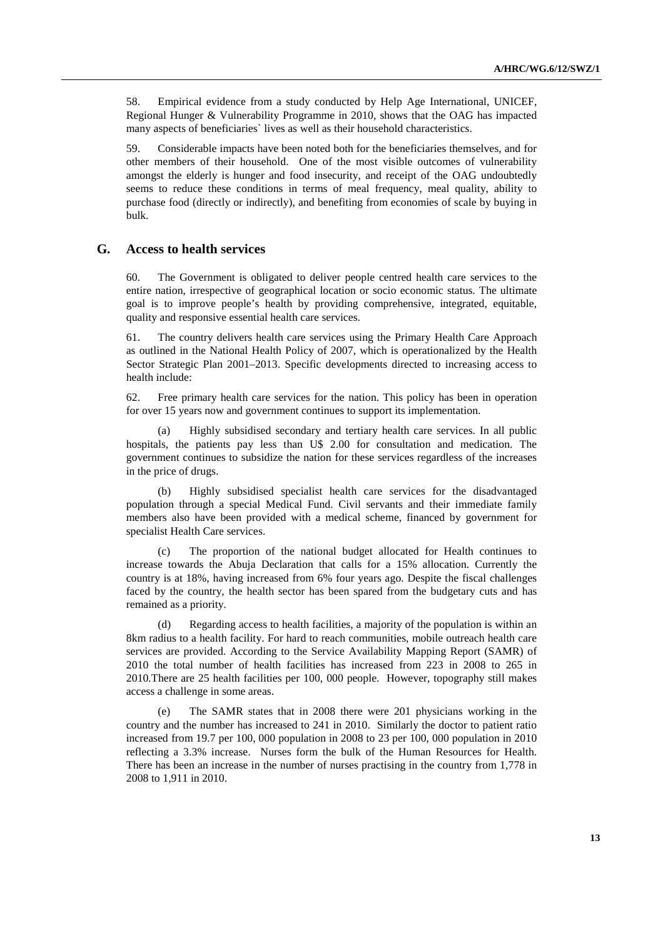58. Empirical evidence from a study conducted by Help Age International, UNICEF, Regional Hunger & Vulnerability Programme in 2010, shows that the OAG has impacted many aspects of beneficiaries` lives as well as their household characteristics.

59. Considerable impacts have been noted both for the beneficiaries themselves, and for other members of their household. One of the most visible outcomes of vulnerability amongst the elderly is hunger and food insecurity, and receipt of the OAG undoubtedly seems to reduce these conditions in terms of meal frequency, meal quality, ability to purchase food (directly or indirectly), and benefiting from economies of scale by buying in bulk.

### **G. Access to health services**

60. The Government is obligated to deliver people centred health care services to the entire nation, irrespective of geographical location or socio economic status. The ultimate goal is to improve people's health by providing comprehensive, integrated, equitable, quality and responsive essential health care services.

61. The country delivers health care services using the Primary Health Care Approach as outlined in the National Health Policy of 2007, which is operationalized by the Health Sector Strategic Plan 2001–2013. Specific developments directed to increasing access to health include:

62. Free primary health care services for the nation. This policy has been in operation for over 15 years now and government continues to support its implementation.

(a) Highly subsidised secondary and tertiary health care services. In all public hospitals, the patients pay less than U\$ 2.00 for consultation and medication. The government continues to subsidize the nation for these services regardless of the increases in the price of drugs.

(b) Highly subsidised specialist health care services for the disadvantaged population through a special Medical Fund. Civil servants and their immediate family members also have been provided with a medical scheme, financed by government for specialist Health Care services.

(c) The proportion of the national budget allocated for Health continues to increase towards the Abuja Declaration that calls for a 15% allocation. Currently the country is at 18%, having increased from 6% four years ago*.* Despite the fiscal challenges faced by the country, the health sector has been spared from the budgetary cuts and has remained as a priority.

(d) Regarding access to health facilities, a majority of the population is within an 8km radius to a health facility. For hard to reach communities, mobile outreach health care services are provided. According to the Service Availability Mapping Report (SAMR) of 2010 the total number of health facilities has increased from 223 in 2008 to 265 in 2010*.*There are 25 health facilities per 100, 000 people. However, topography still makes access a challenge in some areas.

(e) The SAMR states that in 2008 there were 201 physicians working in the country and the number has increased to 241 in 2010. Similarly the doctor to patient ratio increased from 19.7 per 100, 000 population in 2008 to 23 per 100, 000 population in 2010 reflecting a 3.3% increase. Nurses form the bulk of the Human Resources for Health. There has been an increase in the number of nurses practising in the country from 1,778 in 2008 to 1,911 in 2010.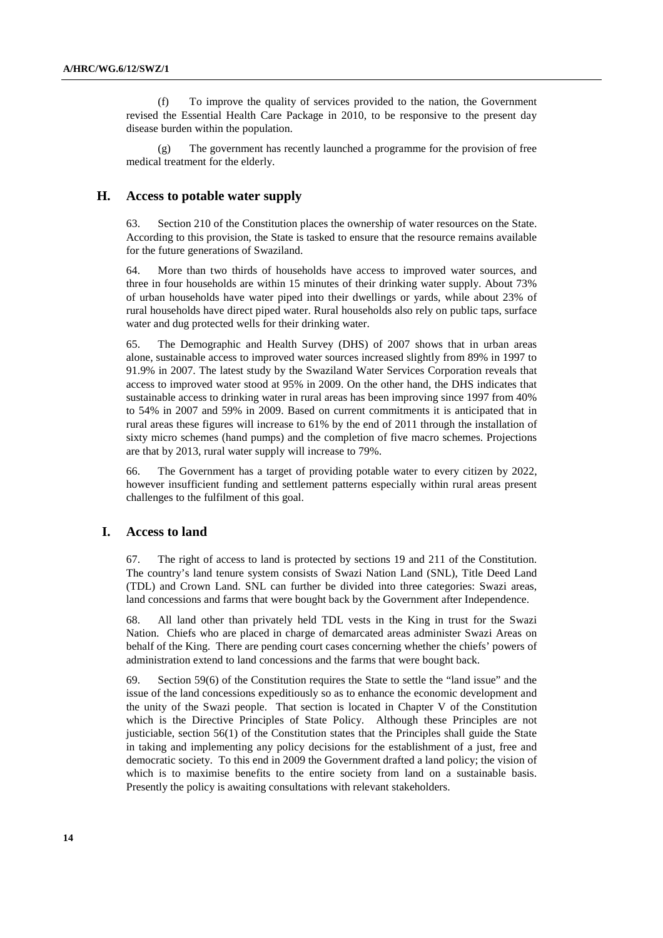(f) To improve the quality of services provided to the nation, the Government revised the Essential Health Care Package in 2010, to be responsive to the present day disease burden within the population.

The government has recently launched a programme for the provision of free medical treatment for the elderly.

#### **H. Access to potable water supply**

63. Section 210 of the Constitution places the ownership of water resources on the State. According to this provision, the State is tasked to ensure that the resource remains available for the future generations of Swaziland.

64. More than two thirds of households have access to improved water sources, and three in four households are within 15 minutes of their drinking water supply. About 73% of urban households have water piped into their dwellings or yards, while about 23% of rural households have direct piped water. Rural households also rely on public taps, surface water and dug protected wells for their drinking water.

65. The Demographic and Health Survey (DHS) of 2007 shows that in urban areas alone, sustainable access to improved water sources increased slightly from 89% in 1997 to 91.9% in 2007. The latest study by the Swaziland Water Services Corporation reveals that access to improved water stood at 95% in 2009. On the other hand, the DHS indicates that sustainable access to drinking water in rural areas has been improving since 1997 from 40% to 54% in 2007 and 59% in 2009. Based on current commitments it is anticipated that in rural areas these figures will increase to 61% by the end of 2011 through the installation of sixty micro schemes (hand pumps) and the completion of five macro schemes. Projections are that by 2013, rural water supply will increase to 79%.

66. The Government has a target of providing potable water to every citizen by 2022, however insufficient funding and settlement patterns especially within rural areas present challenges to the fulfilment of this goal.

#### **I. Access to land**

67. The right of access to land is protected by sections 19 and 211 of the Constitution. The country's land tenure system consists of Swazi Nation Land (SNL), Title Deed Land (TDL) and Crown Land. SNL can further be divided into three categories: Swazi areas, land concessions and farms that were bought back by the Government after Independence.

68. All land other than privately held TDL vests in the King in trust for the Swazi Nation. Chiefs who are placed in charge of demarcated areas administer Swazi Areas on behalf of the King. There are pending court cases concerning whether the chiefs' powers of administration extend to land concessions and the farms that were bought back.

69. Section 59(6) of the Constitution requires the State to settle the "land issue" and the issue of the land concessions expeditiously so as to enhance the economic development and the unity of the Swazi people. That section is located in Chapter V of the Constitution which is the Directive Principles of State Policy. Although these Principles are not justiciable, section 56(1) of the Constitution states that the Principles shall guide the State in taking and implementing any policy decisions for the establishment of a just, free and democratic society. To this end in 2009 the Government drafted a land policy; the vision of which is to maximise benefits to the entire society from land on a sustainable basis. Presently the policy is awaiting consultations with relevant stakeholders.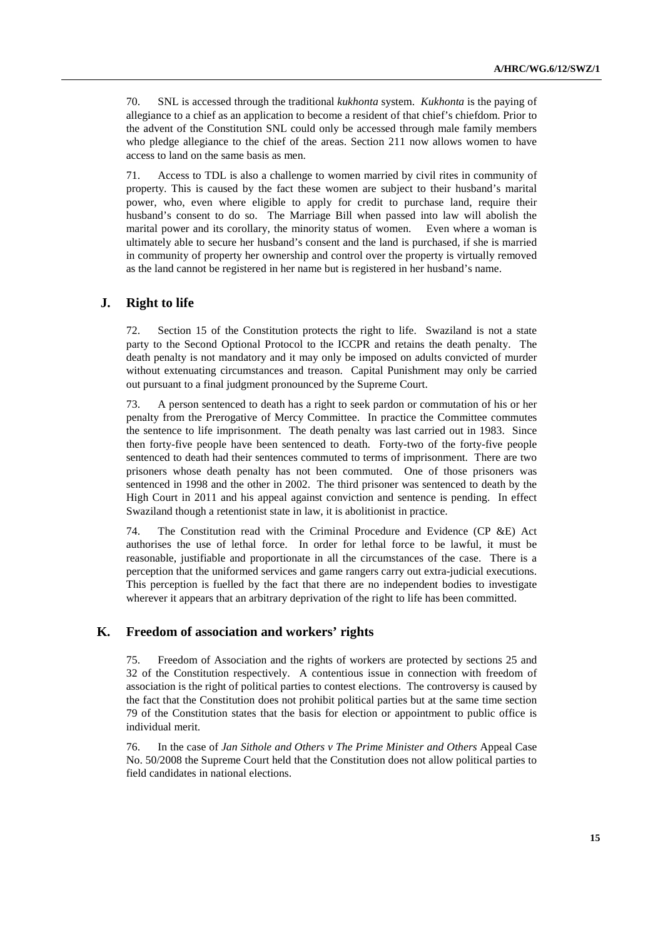70. SNL is accessed through the traditional *kukhonta* system. *Kukhonta* is the paying of allegiance to a chief as an application to become a resident of that chief's chiefdom. Prior to the advent of the Constitution SNL could only be accessed through male family members who pledge allegiance to the chief of the areas. Section 211 now allows women to have access to land on the same basis as men.

71. Access to TDL is also a challenge to women married by civil rites in community of property. This is caused by the fact these women are subject to their husband's marital power, who, even where eligible to apply for credit to purchase land, require their husband's consent to do so. The Marriage Bill when passed into law will abolish the marital power and its corollary, the minority status of women. Even where a woman is ultimately able to secure her husband's consent and the land is purchased, if she is married in community of property her ownership and control over the property is virtually removed as the land cannot be registered in her name but is registered in her husband's name.

### **J. Right to life**

72. Section 15 of the Constitution protects the right to life. Swaziland is not a state party to the Second Optional Protocol to the ICCPR and retains the death penalty. The death penalty is not mandatory and it may only be imposed on adults convicted of murder without extenuating circumstances and treason. Capital Punishment may only be carried out pursuant to a final judgment pronounced by the Supreme Court.

73. A person sentenced to death has a right to seek pardon or commutation of his or her penalty from the Prerogative of Mercy Committee. In practice the Committee commutes the sentence to life imprisonment. The death penalty was last carried out in 1983. Since then forty-five people have been sentenced to death. Forty-two of the forty-five people sentenced to death had their sentences commuted to terms of imprisonment. There are two prisoners whose death penalty has not been commuted. One of those prisoners was sentenced in 1998 and the other in 2002. The third prisoner was sentenced to death by the High Court in 2011 and his appeal against conviction and sentence is pending. In effect Swaziland though a retentionist state in law, it is abolitionist in practice.

74. The Constitution read with the Criminal Procedure and Evidence (CP &E) Act authorises the use of lethal force. In order for lethal force to be lawful, it must be reasonable, justifiable and proportionate in all the circumstances of the case. There is a perception that the uniformed services and game rangers carry out extra-judicial executions. This perception is fuelled by the fact that there are no independent bodies to investigate wherever it appears that an arbitrary deprivation of the right to life has been committed.

#### **K. Freedom of association and workers' rights**

75. Freedom of Association and the rights of workers are protected by sections 25 and 32 of the Constitution respectively. A contentious issue in connection with freedom of association is the right of political parties to contest elections. The controversy is caused by the fact that the Constitution does not prohibit political parties but at the same time section 79 of the Constitution states that the basis for election or appointment to public office is individual merit.

76. In the case of *Jan Sithole and Others v The Prime Minister and Others* Appeal Case No. 50/2008 the Supreme Court held that the Constitution does not allow political parties to field candidates in national elections.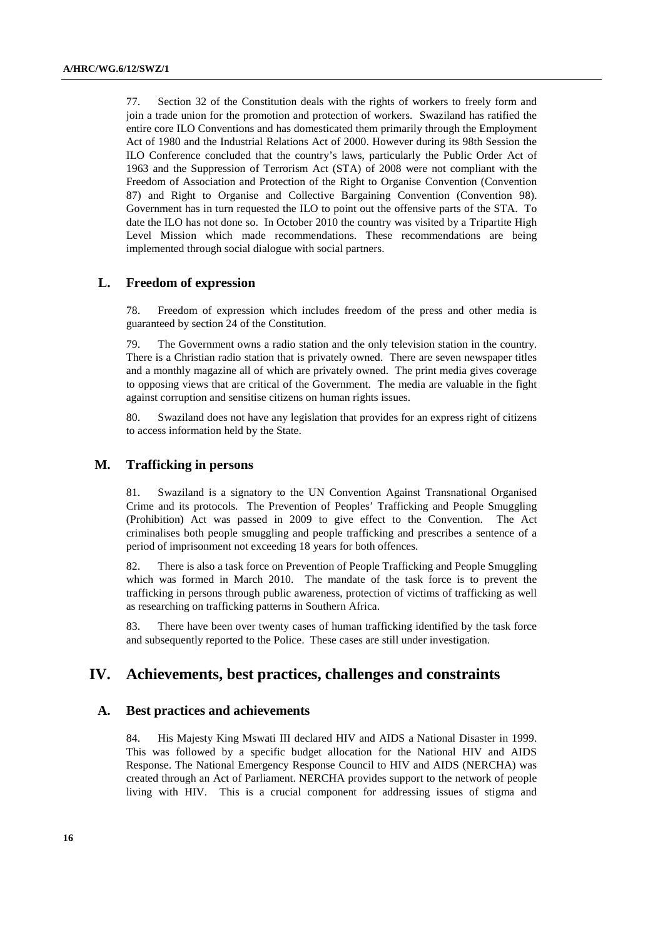77. Section 32 of the Constitution deals with the rights of workers to freely form and join a trade union for the promotion and protection of workers. Swaziland has ratified the entire core ILO Conventions and has domesticated them primarily through the Employment Act of 1980 and the Industrial Relations Act of 2000. However during its 98th Session the ILO Conference concluded that the country's laws, particularly the Public Order Act of 1963 and the Suppression of Terrorism Act (STA) of 2008 were not compliant with the Freedom of Association and Protection of the Right to Organise Convention (Convention 87) and Right to Organise and Collective Bargaining Convention (Convention 98). Government has in turn requested the ILO to point out the offensive parts of the STA. To date the ILO has not done so. In October 2010 the country was visited by a Tripartite High Level Mission which made recommendations. These recommendations are being implemented through social dialogue with social partners.

#### **L. Freedom of expression**

78. Freedom of expression which includes freedom of the press and other media is guaranteed by section 24 of the Constitution.

79. The Government owns a radio station and the only television station in the country. There is a Christian radio station that is privately owned. There are seven newspaper titles and a monthly magazine all of which are privately owned. The print media gives coverage to opposing views that are critical of the Government. The media are valuable in the fight against corruption and sensitise citizens on human rights issues.

80. Swaziland does not have any legislation that provides for an express right of citizens to access information held by the State.

#### **M. Trafficking in persons**

81. Swaziland is a signatory to the UN Convention Against Transnational Organised Crime and its protocols. The Prevention of Peoples' Trafficking and People Smuggling (Prohibition) Act was passed in 2009 to give effect to the Convention. The Act criminalises both people smuggling and people trafficking and prescribes a sentence of a period of imprisonment not exceeding 18 years for both offences.

82. There is also a task force on Prevention of People Trafficking and People Smuggling which was formed in March 2010. The mandate of the task force is to prevent the trafficking in persons through public awareness, protection of victims of trafficking as well as researching on trafficking patterns in Southern Africa.

83. There have been over twenty cases of human trafficking identified by the task force and subsequently reported to the Police. These cases are still under investigation.

# **IV. Achievements, best practices, challenges and constraints**

#### **A. Best practices and achievements**

84. His Majesty King Mswati III declared HIV and AIDS a National Disaster in 1999. This was followed by a specific budget allocation for the National HIV and AIDS Response. The National Emergency Response Council to HIV and AIDS (NERCHA) was created through an Act of Parliament. NERCHA provides support to the network of people living with HIV. This is a crucial component for addressing issues of stigma and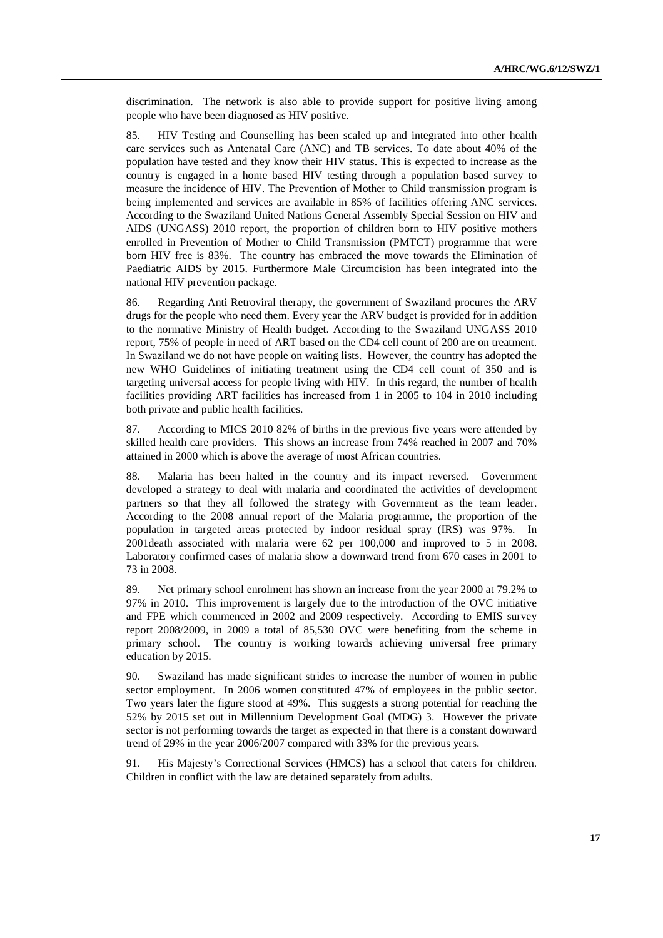discrimination. The network is also able to provide support for positive living among people who have been diagnosed as HIV positive.

85. HIV Testing and Counselling has been scaled up and integrated into other health care services such as Antenatal Care (ANC) and TB services. To date about 40% of the population have tested and they know their HIV status. This is expected to increase as the country is engaged in a home based HIV testing through a population based survey to measure the incidence of HIV. The Prevention of Mother to Child transmission program is being implemented and services are available in 85% of facilities offering ANC services. According to the Swaziland United Nations General Assembly Special Session on HIV and AIDS (UNGASS) 2010 report, the proportion of children born to HIV positive mothers enrolled in Prevention of Mother to Child Transmission (PMTCT) programme that were born HIV free is 83%. The country has embraced the move towards the Elimination of Paediatric AIDS by 2015. Furthermore Male Circumcision has been integrated into the national HIV prevention package.

86. Regarding Anti Retroviral therapy, the government of Swaziland procures the ARV drugs for the people who need them. Every year the ARV budget is provided for in addition to the normative Ministry of Health budget. According to the Swaziland UNGASS 2010 report, 75% of people in need of ART based on the CD4 cell count of 200 are on treatment. In Swaziland we do not have people on waiting lists. However, the country has adopted the new WHO Guidelines of initiating treatment using the CD4 cell count of 350 and is targeting universal access for people living with HIV. In this regard, the number of health facilities providing ART facilities has increased from 1 in 2005 to 104 in 2010 including both private and public health facilities.

87. According to MICS 2010 82% of births in the previous five years were attended by skilled health care providers. This shows an increase from 74% reached in 2007 and 70% attained in 2000 which is above the average of most African countries.

88. Malaria has been halted in the country and its impact reversed. Government developed a strategy to deal with malaria and coordinated the activities of development partners so that they all followed the strategy with Government as the team leader. According to the 2008 annual report of the Malaria programme, the proportion of the population in targeted areas protected by indoor residual spray (IRS) was 97%. In 2001death associated with malaria were 62 per 100,000 and improved to 5 in 2008. Laboratory confirmed cases of malaria show a downward trend from 670 cases in 2001 to 73 in 2008.

89. Net primary school enrolment has shown an increase from the year 2000 at 79.2% to 97% in 2010. This improvement is largely due to the introduction of the OVC initiative and FPE which commenced in 2002 and 2009 respectively. According to EMIS survey report 2008/2009, in 2009 a total of 85,530 OVC were benefiting from the scheme in primary school. The country is working towards achieving universal free primary education by 2015.

90. Swaziland has made significant strides to increase the number of women in public sector employment. In 2006 women constituted 47% of employees in the public sector. Two years later the figure stood at 49%. This suggests a strong potential for reaching the 52% by 2015 set out in Millennium Development Goal (MDG) 3. However the private sector is not performing towards the target as expected in that there is a constant downward trend of 29% in the year 2006/2007 compared with 33% for the previous years.

91. His Majesty's Correctional Services (HMCS) has a school that caters for children. Children in conflict with the law are detained separately from adults.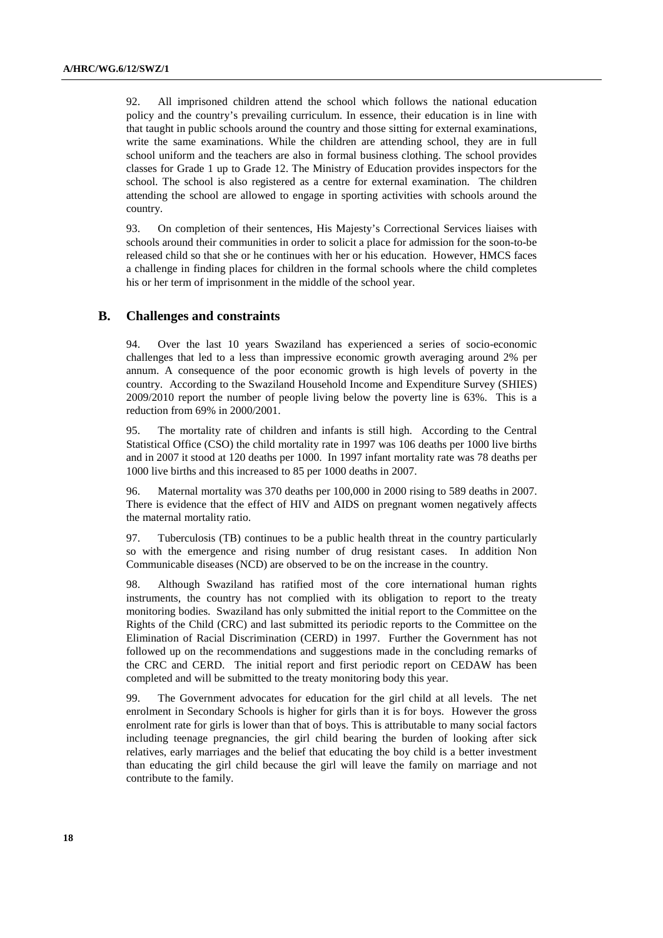92. All imprisoned children attend the school which follows the national education policy and the country's prevailing curriculum. In essence, their education is in line with that taught in public schools around the country and those sitting for external examinations, write the same examinations. While the children are attending school, they are in full school uniform and the teachers are also in formal business clothing. The school provides classes for Grade 1 up to Grade 12. The Ministry of Education provides inspectors for the school. The school is also registered as a centre for external examination. The children attending the school are allowed to engage in sporting activities with schools around the country.

93. On completion of their sentences, His Majesty's Correctional Services liaises with schools around their communities in order to solicit a place for admission for the soon-to-be released child so that she or he continues with her or his education. However, HMCS faces a challenge in finding places for children in the formal schools where the child completes his or her term of imprisonment in the middle of the school year.

### **B. Challenges and constraints**

94. Over the last 10 years Swaziland has experienced a series of socio-economic challenges that led to a less than impressive economic growth averaging around 2% per annum. A consequence of the poor economic growth is high levels of poverty in the country. According to the Swaziland Household Income and Expenditure Survey (SHIES) 2009/2010 report the number of people living below the poverty line is 63%. This is a reduction from 69% in 2000/2001.

95. The mortality rate of children and infants is still high. According to the Central Statistical Office (CSO) the child mortality rate in 1997 was 106 deaths per 1000 live births and in 2007 it stood at 120 deaths per 1000. In 1997 infant mortality rate was 78 deaths per 1000 live births and this increased to 85 per 1000 deaths in 2007.

96. Maternal mortality was 370 deaths per 100,000 in 2000 rising to 589 deaths in 2007. There is evidence that the effect of HIV and AIDS on pregnant women negatively affects the maternal mortality ratio.

97. Tuberculosis (TB) continues to be a public health threat in the country particularly so with the emergence and rising number of drug resistant cases. In addition Non Communicable diseases (NCD) are observed to be on the increase in the country.

98. Although Swaziland has ratified most of the core international human rights instruments, the country has not complied with its obligation to report to the treaty monitoring bodies. Swaziland has only submitted the initial report to the Committee on the Rights of the Child (CRC) and last submitted its periodic reports to the Committee on the Elimination of Racial Discrimination (CERD) in 1997. Further the Government has not followed up on the recommendations and suggestions made in the concluding remarks of the CRC and CERD. The initial report and first periodic report on CEDAW has been completed and will be submitted to the treaty monitoring body this year.

99. The Government advocates for education for the girl child at all levels. The net enrolment in Secondary Schools is higher for girls than it is for boys. However the gross enrolment rate for girls is lower than that of boys. This is attributable to many social factors including teenage pregnancies, the girl child bearing the burden of looking after sick relatives, early marriages and the belief that educating the boy child is a better investment than educating the girl child because the girl will leave the family on marriage and not contribute to the family.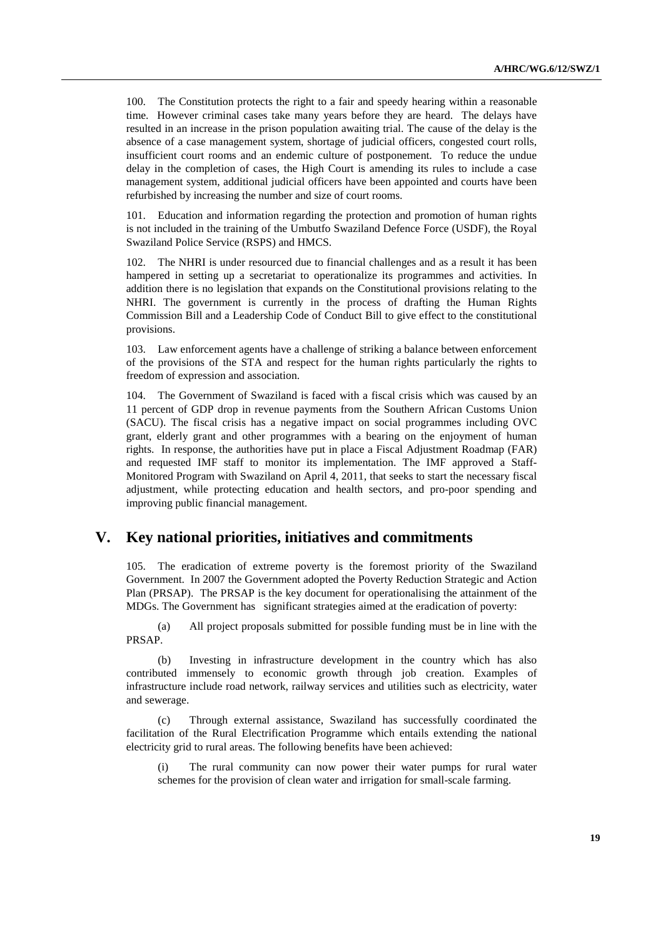100. The Constitution protects the right to a fair and speedy hearing within a reasonable time. However criminal cases take many years before they are heard. The delays have resulted in an increase in the prison population awaiting trial. The cause of the delay is the absence of a case management system, shortage of judicial officers, congested court rolls, insufficient court rooms and an endemic culture of postponement. To reduce the undue delay in the completion of cases, the High Court is amending its rules to include a case management system, additional judicial officers have been appointed and courts have been refurbished by increasing the number and size of court rooms.

101. Education and information regarding the protection and promotion of human rights is not included in the training of the Umbutfo Swaziland Defence Force (USDF), the Royal Swaziland Police Service (RSPS) and HMCS.

The NHRI is under resourced due to financial challenges and as a result it has been hampered in setting up a secretariat to operationalize its programmes and activities. In addition there is no legislation that expands on the Constitutional provisions relating to the NHRI. The government is currently in the process of drafting the Human Rights Commission Bill and a Leadership Code of Conduct Bill to give effect to the constitutional provisions.

103. Law enforcement agents have a challenge of striking a balance between enforcement of the provisions of the STA and respect for the human rights particularly the rights to freedom of expression and association.

104. The Government of Swaziland is faced with a fiscal crisis which was caused by an 11 percent of GDP drop in revenue payments from the Southern African Customs Union (SACU). The fiscal crisis has a negative impact on social programmes including OVC grant, elderly grant and other programmes with a bearing on the enjoyment of human rights. In response, the authorities have put in place a Fiscal Adjustment Roadmap (FAR) and requested IMF staff to monitor its implementation. The IMF approved a Staff-Monitored Program with Swaziland on April 4, 2011, that seeks to start the necessary fiscal adjustment, while protecting education and health sectors, and pro-poor spending and improving public financial management.

## **V. Key national priorities, initiatives and commitments**

105. The eradication of extreme poverty is the foremost priority of the Swaziland Government. In 2007 the Government adopted the Poverty Reduction Strategic and Action Plan (PRSAP). The PRSAP is the key document for operationalising the attainment of the MDGs. The Government has significant strategies aimed at the eradication of poverty:

(a) All project proposals submitted for possible funding must be in line with the PRSAP.

(b) Investing in infrastructure development in the country which has also contributed immensely to economic growth through job creation. Examples of infrastructure include road network, railway services and utilities such as electricity, water and sewerage.

(c) Through external assistance, Swaziland has successfully coordinated the facilitation of the Rural Electrification Programme which entails extending the national electricity grid to rural areas. The following benefits have been achieved:

The rural community can now power their water pumps for rural water schemes for the provision of clean water and irrigation for small-scale farming.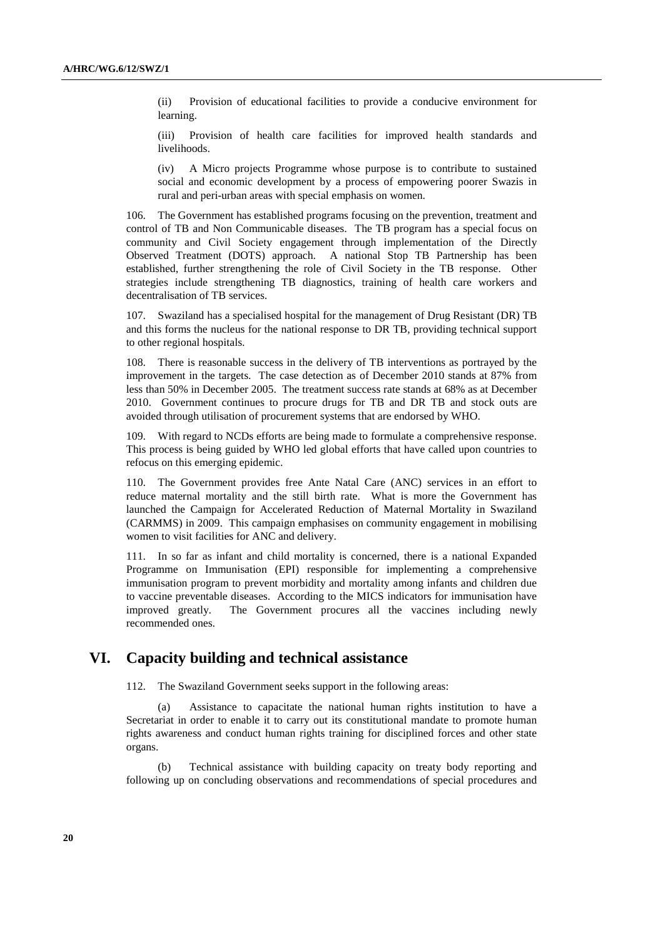(ii) Provision of educational facilities to provide a conducive environment for learning.

(iii) Provision of health care facilities for improved health standards and livelihoods.

(iv) A Micro projects Programme whose purpose is to contribute to sustained social and economic development by a process of empowering poorer Swazis in rural and peri-urban areas with special emphasis on women.

106. The Government has established programs focusing on the prevention, treatment and control of TB and Non Communicable diseases. The TB program has a special focus on community and Civil Society engagement through implementation of the Directly Observed Treatment (DOTS) approach. A national Stop TB Partnership has been established, further strengthening the role of Civil Society in the TB response. Other strategies include strengthening TB diagnostics, training of health care workers and decentralisation of TB services.

Swaziland has a specialised hospital for the management of Drug Resistant (DR) TB and this forms the nucleus for the national response to DR TB, providing technical support to other regional hospitals.

108. There is reasonable success in the delivery of TB interventions as portrayed by the improvement in the targets. The case detection as of December 2010 stands at 87% from less than 50% in December 2005. The treatment success rate stands at 68% as at December 2010. Government continues to procure drugs for TB and DR TB and stock outs are avoided through utilisation of procurement systems that are endorsed by WHO.

109. With regard to NCDs efforts are being made to formulate a comprehensive response. This process is being guided by WHO led global efforts that have called upon countries to refocus on this emerging epidemic.

110. The Government provides free Ante Natal Care (ANC) services in an effort to reduce maternal mortality and the still birth rate. What is more the Government has launched the Campaign for Accelerated Reduction of Maternal Mortality in Swaziland (CARMMS) in 2009. This campaign emphasises on community engagement in mobilising women to visit facilities for ANC and delivery.

111. In so far as infant and child mortality is concerned, there is a national Expanded Programme on Immunisation (EPI) responsible for implementing a comprehensive immunisation program to prevent morbidity and mortality among infants and children due to vaccine preventable diseases. According to the MICS indicators for immunisation have improved greatly. The Government procures all the vaccines including newly recommended ones.

## **VI. Capacity building and technical assistance**

112. The Swaziland Government seeks support in the following areas:

(a) Assistance to capacitate the national human rights institution to have a Secretariat in order to enable it to carry out its constitutional mandate to promote human rights awareness and conduct human rights training for disciplined forces and other state organs.

(b) Technical assistance with building capacity on treaty body reporting and following up on concluding observations and recommendations of special procedures and